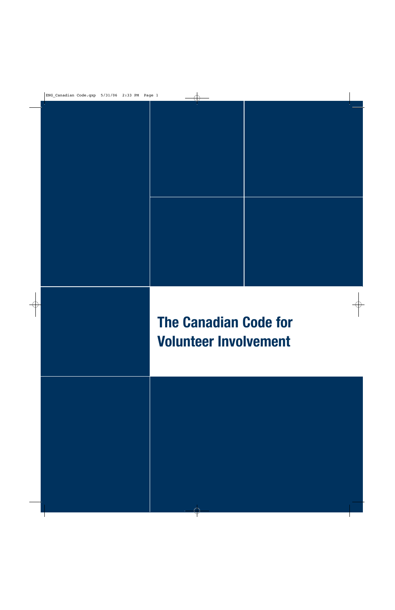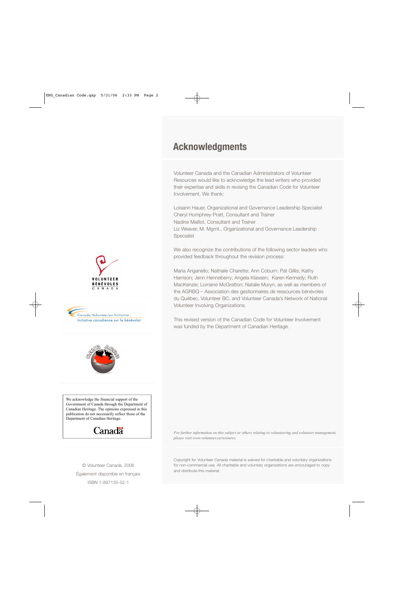## **Acknowledgments**

Volunteer Canada and the Canadian Administrators of Volunteer Resources would like to acknowledge the lead writers who provided their expertise and skills in revising the Canadian Code for Volunteer Involvement. We thank:

Loisann Hauer, Organizational and Governance Leadership Specialist Cheryl Humphrey-Pratt, Consultant and Trainer Nadine Maillot, Consultant and Trainer Liz Weaver, M. Mgmt., Organizational and Governance Leadership Specialist

We also recognize the contributions of the following sector leaders who provided feedback throughout the revision process:

Maria Ariganello; Nathalie Charette; Ann Coburn: Pat Gillis; Kathy Harrison; Jenn Henneberry; Angela Klassen; Karen Kennedy; Ruth MacKenzie; Lorraine McGratton; Natalie Muryn, as well as members of the AGRBQ – Association des gestionnaires de ressources bénévoles du Québec, Volunteer BC, and Volunteer Canada's Network of National Volunteer Involving Organizations.

This revised version of the Canadian Code for Volunteer Involvement was funded by the Department of Canadian Heritage.



We acknowledge the financial support of the Government of Canada through the Department of Canadian Heritage. The opinions expressed in this publication do not necessarily reflect those of the Department of Canadian Heritage.

## Canadä

© Volunteer Canada, 2006 Également disponible en français ISBN 1-897135-52-1

*For further information on this subject or others relating to volunteering and volunteer management, please visit www.volunteer.ca/resource.*

Copyright for Volunteer Canada material is waived for charitable and voluntary organizations for non-commercial use. All charitable and voluntary organizations are encouraged to copy and distribute this material.



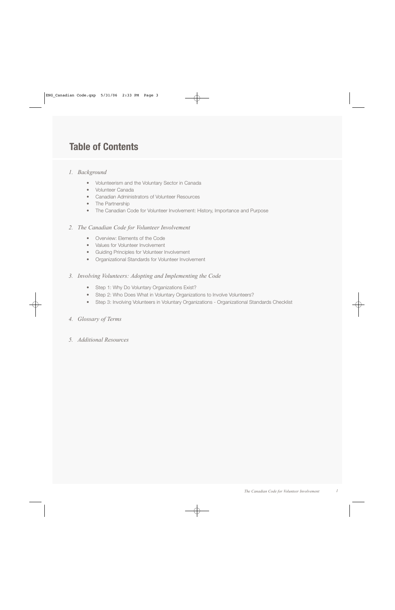## **Table of Contents**

## *1. Background*

- Volunteerism and the Voluntary Sector in Canada
- Volunteer Canada
- Canadian Administrators of Volunteer Resources
- The Partnership
- The Canadian Code for Volunteer Involvement: History, Importance and Purpose

## *2. The Canadian Code for Volunteer Involvement*

- Overview: Elements of the Code
- Values for Volunteer Involvement
- Guiding Principles for Volunteer Involvement
- Organizational Standards for Volunteer Involvement

## *3. Involving Volunteers: Adopting and Implementing the Code*

- *•* Step 1: Why Do Voluntary Organizations Exist?
- *•* Step 2: Who Does What in Voluntary Organizations to Involve Volunteers?
- *•* Step 3: Involving Volunteers in Voluntary Organizations Organizational Standards Checklist

## *4. Glossary of Terms*

*5. Additional Resources*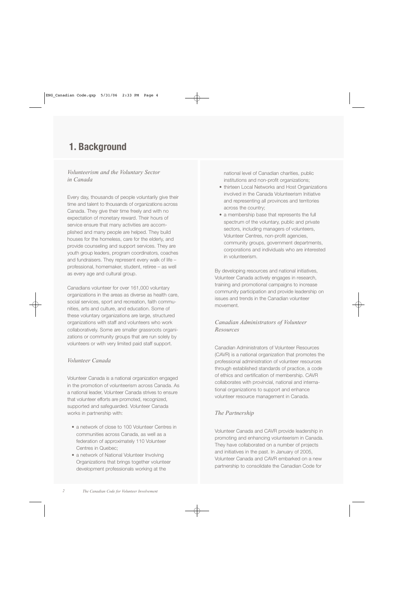## **1. Background**

## *Volunteerism and the Voluntary Sector in Canada*

Every day, thousands of people voluntarily give their time and talent to thousands of organizations across Canada. They give their time freely and with no expectation of monetary reward. Their hours of service ensure that many activities are accomplished and many people are helped. They build houses for the homeless, care for the elderly, and provide counseling and support services. They are youth group leaders, program coordinators, coaches and fundraisers. They represent every walk of life – professional, homemaker, student, retiree – as well as every age and cultural group.

Canadians volunteer for over 161,000 voluntary organizations in the areas as diverse as health care, social services, sport and recreation, faith communities, arts and culture, and education. Some of these voluntary organizations are large, structured organizations with staff and volunteers who work collaboratively. Some are smaller grassroots organizations or community groups that are run solely by volunteers or with very limited paid staff support.

## *Volunteer Canada*

Volunteer Canada is a national organization engaged in the promotion of volunteerism across Canada. As a national leader, Volunteer Canada strives to ensure that volunteer efforts are promoted, recognized, supported and safeguarded. Volunteer Canada works in partnership with:

- a network of close to 100 Volunteer Centres in communities across Canada, as well as a federation of approximately 110 Volunteer Centres in Quebec;
- a network of National Volunteer Involving Organizations that brings together volunteer development professionals working at the

national level of Canadian charities, public institutions and non-profit organizations;

- thirteen Local Networks and Host Organizations involved in the Canada Volunteerism Initiative and representing all provinces and territories across the country;
- a membership base that represents the full spectrum of the voluntary, public and private sectors, including managers of volunteers, Volunteer Centres, non-profit agencies, community groups, government departments, corporations and individuals who are interested in volunteerism.

By developing resources and national initiatives, Volunteer Canada actively engages in research, training and promotional campaigns to increase community participation and provide leadership on issues and trends in the Canadian volunteer movement.

## *Canadian Administrators of Volunteer Resources*

Canadian Administrators of Volunteer Resources (CAVR) is a national organization that promotes the professional administration of volunteer resources through established standards of practice, a code of ethics and certification of membership. CAVR collaborates with provincial, national and international organizations to support and enhance volunteer resource management in Canada.

## *The Partnership*

Volunteer Canada and CAVR provide leadership in promoting and enhancing volunteerism in Canada. They have collaborated on a number of projects and initiatives in the past. In January of 2005, Volunteer Canada and CAVR embarked on a new partnership to consolidate the Canadian Code for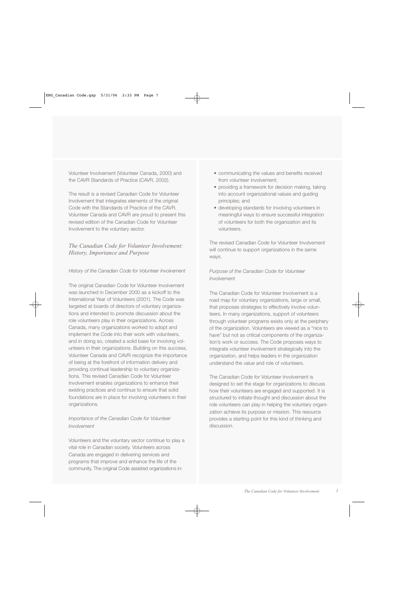Volunteer Involvement (Volunteer Canada, 2000) and the CAVR Standards of Practice (CAVR, 2002).

The result is a revised Canadian Code for Volunteer Involvement that integrates elements of the original Code with the Standards of Practice of the CAVR. Volunteer Canada and CAVR are proud to present this revised edition of the Canadian Code for Volunteer Involvement to the voluntary sector.

## *The Canadian Code for Volunteer Involvement: History, Importance and Purpose*

*History of the Canadian Code for Volunteer Involvement*

The original Canadian Code for Volunteer Involvement was launched in December 2000 as a kickoff to the International Year of Volunteers (2001). The Code was targeted at boards of directors of voluntary organizations and intended to promote discussion about the role volunteers play in their organizations. Across Canada, many organizations worked to adopt and implement the Code into their work with volunteers, and in doing so, created a solid base for involving volunteers in their organizations. Building on this success, Volunteer Canada and CAVR recognize the importance of being at the forefront of information delivery and providing continual leadership to voluntary organizations. This revised Canadian Code for Volunteer Involvement enables organizations to enhance their existing practices and continue to ensure that solid foundations are in place for involving volunteers in their organizations.

## *Importance of the Canadian Code for Volunteer Involvement*

Volunteers and the voluntary sector continue to play a vital role in Canadian society. Volunteers across Canada are engaged in delivering services and programs that improve and enhance the life of the community. The original Code assisted organizations in:

- communicating the values and benefits received from volunteer involvement;
- providing a framework for decision making, taking into account organizational values and guiding principles; and
- developing standards for involving volunteers in meaningful ways to ensure successful integration of volunteers for both the organization and its volunteers.

The revised Canadian Code for Volunteer Involvement will continue to support organizations in the same ways.

## *Purpose of the Canadian Code for Volunteer Involvement*

The Canadian Code for Volunteer Involvement is a road map for voluntary organizations, large or small, that proposes strategies to effectively involve volunteers. In many organizations, support of volunteers through volunteer programs exists only at the periphery of the organization. Volunteers are viewed as a "nice to have" but not as critical components of the organization's work or success. The Code proposes ways to integrate volunteer involvement strategically into the organization, and helps leaders in the organization understand the value and role of volunteers.

The Canadian Code for Volunteer Involvement is designed to set the stage for organizations to discuss how their volunteers are engaged and supported. It is structured to initiate thought and discussion about the role volunteers can play in helping the voluntary organization achieve its purpose or mission. This resource provides a starting point for this kind of thinking and discussion.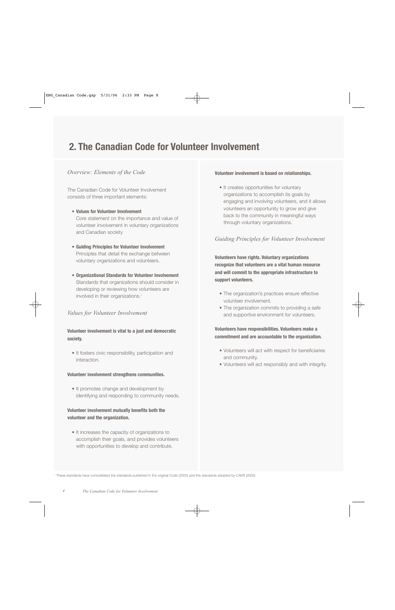## **2. The Canadian Code for Volunteer Involvement**

## *Overview: Elements of the Code*

The Canadian Code for Volunteer Involvement consists of three important elements:

- **• Values for Volunteer Involvement** Core statement on the importance and value of volunteer involvement in voluntary organizations and Canadian society
- **• Guiding Principles for Volunteer Involvement** Principles that detail the exchange between voluntary organizations and volunteers.
- **• Organizational Standards for Volunteer Involvement** Standards that organizations should consider in developing or reviewing how volunteers are involved in their organizations.<sup>1</sup>

## *Values for Volunteer Involvement*

**Volunteer involvement is vital to a just and democratic society.**

• It fosters civic responsibility, participation and interaction.

#### **Volunteer involvement strengthens communities.**

• It promotes change and development by identifying and responding to community needs.

## **Volunteer involvement mutually benefits both the volunteer and the organization.**

• It increases the capacity of organizations to accomplish their goals, and provides volunteers with opportunities to develop and contribute.

#### **Volunteer involvement is based on relationships.**

• It creates opportunities for voluntary organizations to accomplish its goals by engaging and involving volunteers, and it allows volunteers an opportunity to grow and give back to the community in meaningful ways through voluntary organizations.

## *Guiding Principles for Volunteer Involvement*

**Volunteers have rights. Voluntary organizations recognize that volunteers are a vital human resource and will commit to the appropriate infrastructure to support volunteers.**

- The organization's practices ensure effective volunteer involvement.
- The organization commits to providing a safe and supportive environment for volunteers.

**Volunteers have responsibilities. Volunteers make a commitment and are accountable to the organization.**

- Volunteers will act with respect for beneficiaries and community.
- Volunteers will act responsibly and with integrity.

<sup>1</sup> These standards have consolidated the standards published in the original Code (2000) and the standards adopted by CAVR (2002)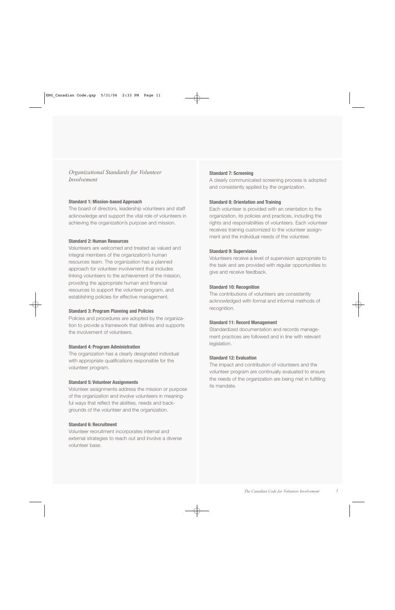## *Organizational Standards for Volunteer Involvement*

#### **Standard 1: Mission-based Approach**

The board of directors, leadership volunteers and staff acknowledge and support the vital role of volunteers in achieving the organization's purpose and mission.

#### **Standard 2: Human Resources**

Volunteers are welcomed and treated as valued and integral members of the organization's human resources team. The organization has a planned approach for volunteer involvement that includes linking volunteers to the achievement of the mission, providing the appropriate human and financial resources to support the volunteer program, and establishing policies for effective management.

#### **Standard 3: Program Planning and Policies**

Policies and procedures are adopted by the organization to provide a framework that defines and supports the involvement of volunteers.

#### **Standard 4: Program Administration**

The organization has a clearly designated individual with appropriate qualifications responsible for the volunteer program.

#### **Standard 5: Volunteer Assignments**

Volunteer assignments address the mission or purpose of the organization and involve volunteers in meaningful ways that reflect the abilities, needs and backgrounds of the volunteer and the organization.

#### **Standard 6: Recruitment**

Volunteer recruitment incorporates internal and external strategies to reach out and involve a diverse volunteer base.

#### **Standard 7: Screening**

A clearly communicated screening process is adopted and consistently applied by the organization.

#### **Standard 8: Orientation and Training**

Each volunteer is provided with an orientation to the organization, its policies and practices, including the rights and responsibilities of volunteers. Each volunteer receives training customized to the volunteer assignment and the individual needs of the volunteer.

#### **Standard 9: Supervision**

Volunteers receive a level of supervision appropriate to the task and are provided with regular opportunities to give and receive feedback.

#### **Standard 10: Recognition**

The contributions of volunteers are consistently acknowledged with formal and informal methods of recognition.

#### **Standard 11: Record Management**

Standardized documentation and records management practices are followed and in line with relevant legislation.

#### **Standard 12: Evaluation**

The impact and contribution of volunteers and the volunteer program are continually evaluated to ensure the needs of the organization are being met in fulfilling its mandate.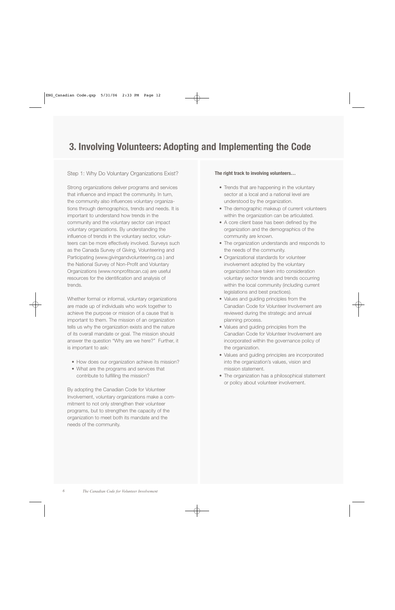## **3. Involving Volunteers: Adopting and Implementing the Code**

## Step 1: Why Do Voluntary Organizations Exist?

Strong organizations deliver programs and services that influence and impact the community. In turn, the community also influences voluntary organizations through demographics, trends and needs. It is important to understand how trends in the community and the voluntary sector can impact voluntary organizations. By understanding the influence of trends in the voluntary sector, volunteers can be more effectively involved. Surveys such as the Canada Survey of Giving, Volunteering and Participating (www.givingandvolunteering.ca ) and the National Survey of Non-Profit and Voluntary Organizations (www.nonprofitscan.ca) are useful resources for the identification and analysis of trends.

Whether formal or informal, voluntary organizations are made up of individuals who work together to achieve the purpose or mission of a cause that is important to them. The mission of an organization tells us why the organization exists and the nature of its overall mandate or goal. The mission should answer the question "Why are we here?" Further, it is important to ask:

- How does our organization achieve its mission?
- What are the programs and services that contribute to fulfilling the mission?

By adopting the Canadian Code for Volunteer Involvement, voluntary organizations make a commitment to not only strengthen their volunteer programs, but to strengthen the capacity of the organization to meet both its mandate and the needs of the community.

#### **The right track to involving volunteers…**

- Trends that are happening in the voluntary sector at a local and a national level are understood by the organization.
- The demographic makeup of current volunteers within the organization can be articulated.
- A core client base has been defined by the organization and the demographics of the community are known.
- The organization understands and responds to the needs of the community.
- Organizational standards for volunteer involvement adopted by the voluntary organization have taken into consideration voluntary sector trends and trends occurring within the local community (including current legislations and best practices).
- Values and guiding principles from the Canadian Code for Volunteer Involvement are reviewed during the strategic and annual planning process.
- Values and guiding principles from the Canadian Code for Volunteer Involvement are incorporated within the governance policy of the organization.
- Values and guiding principles are incorporated into the organization's values, vision and mission statement.
- The organization has a philosophical statement or policy about volunteer involvement.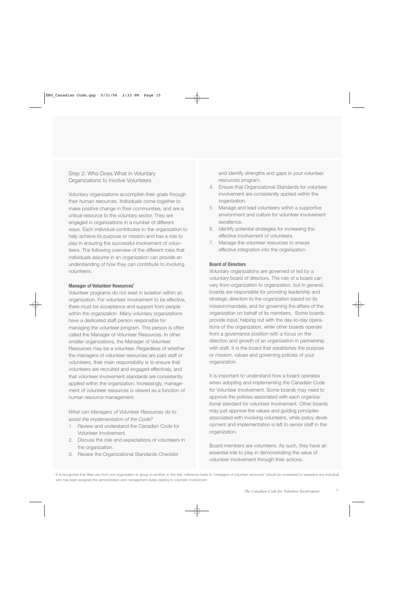Step 2: Who Does What in Voluntary Organizations to Involve Volunteers

Voluntary organizations accomplish their goals through their human resources. Individuals come together to make positive change in their communities, and are a critical resource to the voluntary sector. They are engaged in organizations in a number of different ways. Each individual contributes to the organization to help achieve its purpose or mission and has a role to play in ensuring the successful involvement of volunteers. The following overview of the different roles that individuals assume in an organization can provide an understanding of how they can contribute to involving volunteers.

#### **Manager of Volunteer Resources<sup>2</sup>**

Volunteer programs do not exist in isolation within an organization. For volunteer involvement to be effective, there must be acceptance and support from people within the organization. Many voluntary organizations have a dedicated staff person responsible for managing the volunteer program. This person is often called the Manager of Volunteer Resources. In other smaller organizations, the Manager of Volunteer Resources may be a volunteer. Regardless of whether the managers of volunteer resources are paid staff or volunteers, their main responsibility is to ensure that volunteers are recruited and engaged effectively, and that volunteer involvement standards are consistently applied within the organization. Increasingly, management of volunteer resources is viewed as a function of human resource management.

*What can Managers of Volunteer Resources do to assist the implementation of the Code?*

- 1. Review and understand the Canadian Code for Volunteer Involvement.
- 2. Discuss the role and expectations of volunteers in the organization.
- 3. Review the Organizational Standards Checklist

and identify strengths and gaps in your volunteer resources program.

- 4. Ensure that Organizational Standards for volunteer involvement are consistently applied within the organization.
- 5. Manage and lead volunteers within a supportive environment and culture for volunteer involvement excellence.
- 6. Identify potential strategies for increasing the effective involvement of volunteers.
- 7. Manage the volunteer resources to ensure effective integration into the organization.

#### **Board of Directors**

Voluntary organizations are governed or led by a voluntary board of directors. The role of a board can vary from organization to organization, but in general, boards are responsible for providing leadership and strategic direction to the organization based on its mission/mandate, and for governing the affairs of the organization on behalf of its members. Some boards provide input, helping out with the day-to-day operations of the organization, while other boards operate from a governance position with a focus on the direction and growth of an organization in partnership with staff. It is the board that establishes the purpose or mission, values and governing policies of your organization.

It is important to understand how a board operates when adopting and implementing the Canadian Code for Volunteer Involvement. Some boards may need to approve the policies associated with each organizational standard for volunteer involvement. Other boards may just approve the values and guiding principles associated with involving volunteers, while policy development and implementation is left to senior staff in the organization.

Board members are volunteers. As such, they have an essential role to play in demonstrating the value of volunteer involvement through their actions.

<sup>&</sup>lt;sup>2</sup> It is recognized that titles vary from one organization or group to another. In this text, reference made to "managers of volunteer resources" should be considered to represent any individual who has been assigned the administration and management duties relating to volunteer involvement.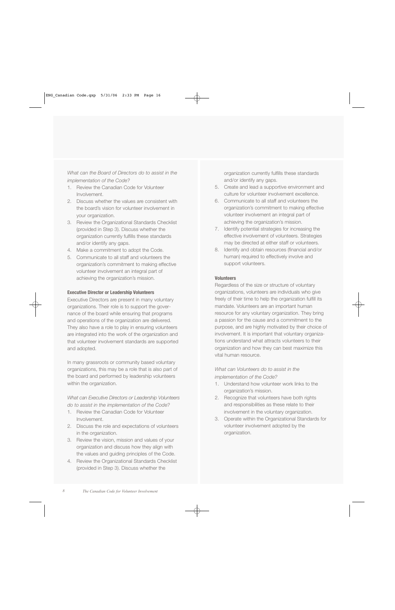*What can the Board of Directors do to assist in the implementation of the Code?*

- 1. Review the Canadian Code for Volunteer Involvement.
- 2. Discuss whether the values are consistent with the board's vision for volunteer involvement in your organization.
- 3. Review the Organizational Standards Checklist (provided in Step 3). Discuss whether the organization currently fulfills these standards and/or identify any gaps.
- 4. Make a commitment to adopt the Code.
- 5. Communicate to all staff and volunteers the organization's commitment to making effective volunteer involvement an integral part of achieving the organization's mission.

#### **Executive Director or Leadership Volunteers**

Executive Directors are present in many voluntary organizations. Their role is to support the governance of the board while ensuring that programs and operations of the organization are delivered. They also have a role to play in ensuring volunteers are integrated into the work of the organization and that volunteer involvement standards are supported and adopted.

In many grassroots or community based voluntary organizations, this may be a role that is also part of the board and performed by leadership volunteers within the organization.

*What can Executive Directors or Leadership Volunteers do to assist in the implementation of the Code?*

- 1. Review the Canadian Code for Volunteer Involvement.
- 2. Discuss the role and expectations of volunteers in the organization.
- 3. Review the vision, mission and values of your organization and discuss how they align with the values and guiding principles of the Code.
- 4. Review the Organizational Standards Checklist (provided in Step 3). Discuss whether the

organization currently fulfills these standards and/or identify any gaps.

- 5. Create and lead a supportive environment and culture for volunteer involvement excellence.
- 6. Communicate to all staff and volunteers the organization's commitment to making effective volunteer involvement an integral part of achieving the organization's mission.
- 7. Identify potential strategies for increasing the effective involvement of volunteers. Strategies may be directed at either staff or volunteers.
- 8. Identify and obtain resources (financial and/or human) required to effectively involve and support volunteers.

#### **Volunteers**

Regardless of the size or structure of voluntary organizations, volunteers are individuals who give freely of their time to help the organization fulfill its mandate. Volunteers are an important human resource for any voluntary organization. They bring a passion for the cause and a commitment to the purpose, and are highly motivated by their choice of involvement. It is important that voluntary organizations understand what attracts volunteers to their organization and how they can best maximize this vital human resource.

*What can Volunteers do to assist in the implementation of the Code?*

- 1. Understand how volunteer work links to the organization's mission.
- 2. Recognize that volunteers have both rights and responsibilities as these relate to their involvement in the voluntary organization.
- 3. Operate within the Organizational Standards for volunteer involvement adopted by the organization.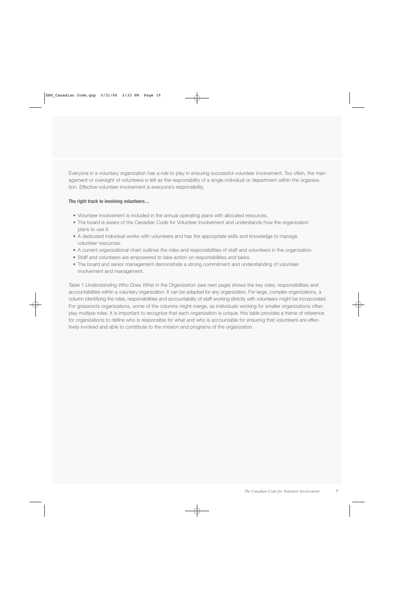Everyone in a voluntary organization has a role to play in ensuring successful volunteer involvement. Too often, the management or oversight of volunteers is left as the responsibility of a single individual or department within the organization. Effective volunteer involvement is everyone's responsibility.

#### **The right track to involving volunteers…**

- Volunteer involvement is included in the annual operating plans with allocated resources.
- The board is aware of the Canadian Code for Volunteer Involvement and understands how the organization plans to use it.
- A dedicated individual works with volunteers and has the appropriate skills and knowledge to manage volunteer resources.
- A current organizational chart outlines the roles and responsibilities of staff and volunteers in the organization.
- Staff and volunteers are empowered to take action on responsibilities and tasks.
- The board and senior management demonstrate a strong commitment and understanding of volunteer involvement and management.

Table 1 *Understanding Who Does What in the Organization* (see next page) shows the key roles, responsibilities and accountabilities within a voluntary organization. It can be adapted for any organization. For large, complex organizations, a column identifying the roles, responsibilities and accountability of staff working directly with volunteers might be incorporated. For grassroots organizations, some of the columns might merge, as individuals working for smaller organizations often play multiple roles. It is important to recognize that each organization is unique; this table provides a frame of reference for organizations to define who is responsible for what and who is accountable for ensuring that volunteers are effectively involved and able to contribute to the mission and programs of the organization.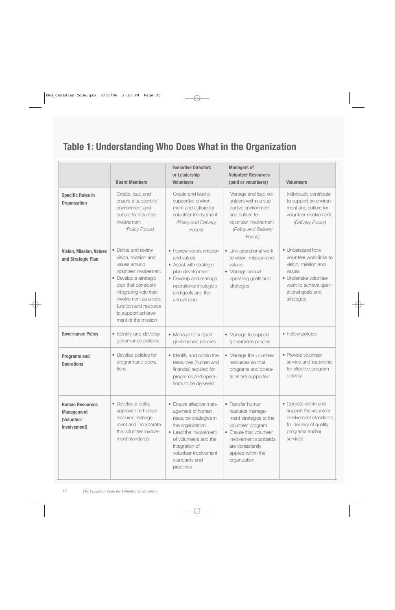# **Table 1: Understanding Who Does What in the Organization**

|                                                                           | <b>Board Members</b>                                                                                                                                                                                                                                          | <b>Executive Directors</b><br>or Leadership<br><b>Volunteers</b>                                                                                                                                                      | <b>Managers of</b><br><b>Volunteer Resources</b><br>(paid or volunteers)                                                                                                                          | <b>Volunteers</b>                                                                                                                                                 |
|---------------------------------------------------------------------------|---------------------------------------------------------------------------------------------------------------------------------------------------------------------------------------------------------------------------------------------------------------|-----------------------------------------------------------------------------------------------------------------------------------------------------------------------------------------------------------------------|---------------------------------------------------------------------------------------------------------------------------------------------------------------------------------------------------|-------------------------------------------------------------------------------------------------------------------------------------------------------------------|
| <b>Specific Roles in</b><br><b>Organization</b>                           | Create, lead and<br>ensure a supportive<br>environment and<br>culture for volunteer<br>involvement<br>(Policy Focus)                                                                                                                                          | Create and lead a<br>supportive environ-<br>ment and culture for<br>volunteer involvement<br>(Policy and Delivery<br>Focus)                                                                                           | Manage and lead vol-<br>unteers within a sup-<br>portive environment<br>and culture for<br>volunteer involvement<br>(Policy and Delivery<br>Focus)                                                | Individually contribute<br>to support an environ-<br>ment and culture for<br>volunteer involvement.<br>(Delivery Focus)                                           |
| <b>Vision, Mission, Values</b><br>and Strategic Plan                      | • Define and review<br>vision, mission and<br>values around<br>volunteer involvement<br>· Develop a strategic<br>plan that considers<br>integrating volunteer<br>involvement as a core<br>function and resource<br>to support achieve-<br>ment of the mission | • Review vision, mission<br>and values<br>• Assist with strategic<br>plan development<br>• Develop and manage<br>operational strategies<br>and goals and the<br>annual plan                                           | • Link operational work<br>to vision, mission and<br>values<br>• Manage annual<br>operating goals and<br>strategies                                                                               | • Understand how<br>volunteer work links to<br>vision, mission and<br>values<br>• Undertake volunteer<br>work to achieve oper-<br>ational goals and<br>strategies |
| <b>Governance Policy</b>                                                  | • Identify and develop<br>governance policies                                                                                                                                                                                                                 | • Manage to support<br>governance policies                                                                                                                                                                            | • Manage to support<br>governance policies                                                                                                                                                        | • Follow policies                                                                                                                                                 |
| <b>Programs and</b><br><b>Operations</b>                                  | • Develop policies for<br>program and opera-<br>tions                                                                                                                                                                                                         | • Identify and obtain the<br>resources (human and<br>financial) required for<br>programs and opera-<br>tions to be delivered                                                                                          | • Manage the volunteer<br>resources so that<br>programs and opera-<br>tions are supported                                                                                                         | • Provide volunteer<br>service and leadership<br>for effective program<br>delivery                                                                                |
| <b>Human Resources</b><br><b>Management</b><br>(Volunteer<br>Involvement) | • Develop a policy<br>approach to human<br>resource manage-<br>ment and incorporate<br>the volunteer involve-<br>ment standards                                                                                                                               | • Ensure effective man-<br>agement of human<br>resource strategies in<br>the organization<br>• Lead the involvement<br>of volunteers and the<br>integration of<br>volunteer involvement<br>standards and<br>practices | • Transfer human<br>resource manage-<br>ment strategies to the<br>volunteer program<br>• Ensure that volunteer<br>involvement standards<br>are consistently<br>applied within the<br>organization | • Operate within and<br>support the volunteer<br>involvement standards<br>for delivery of quality<br>programs and/or<br>services.                                 |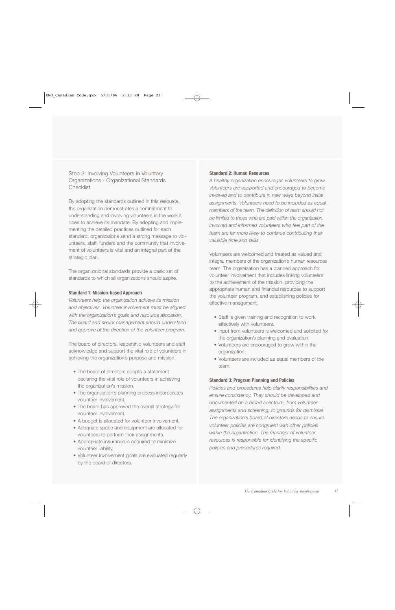Step 3: Involving Volunteers in Voluntary Organizations - Organizational Standards **Checklist** 

By adopting the standards outlined in this resource, the organization demonstrates a commitment to understanding and involving volunteers in the work it does to achieve its mandate. By adopting and implementing the detailed practices outlined for each standard, organizations send a strong message to volunteers, staff, funders and the community that involvement of volunteers is vital and an integral part of the strategic plan.

The organizational standards provide a basic set of standards to which all organizations should aspire.

#### **Standard 1: Mission-based Approach**

*Volunteers help the organization achieve its mission and objectives. Volunteer involvement must be aligned with the organization's goals and resource allocation. The board and senior management should understand and approve of the direction of the volunteer program.*

The board of directors, leadership volunteers and staff acknowledge and support the vital role of volunteers in achieving the organization's purpose and mission.

- The board of directors adopts a statement declaring the vital role of volunteers in achieving the organization's mission.
- The organization's planning process incorporates volunteer involvement.
- The board has approved the overall strategy for volunteer involvement.
- A budget is allocated for volunteer involvement.
- Adequate space and equipment are allocated for volunteers to perform their assignments.
- Appropriate insurance is acquired to minimize volunteer liability.
- Volunteer involvement goals are evaluated regularly by the board of directors.

#### **Standard 2: Human Resources**

*A healthy organization encourages volunteers to grow. Volunteers are supported and encouraged to become involved and to contribute in new ways beyond initial assignments. Volunteers need to be included as equal members of the team. The definition of team should not be limited to those who are paid within the organization. Involved and informed volunteers who feel part of the team are far more likely to continue contributing their valuable time and skills.* 

Volunteers are welcomed and treated as valued and integral members of the organization's human resources team. The organization has a planned approach for volunteer involvement that includes linking volunteers to the achievement of the mission, providing the appropriate human and financial resources to support the volunteer program, and establishing policies for effective management.

- Staff is given training and recognition to work effectively with volunteers.
- Input from volunteers is welcomed and solicited for the organization's planning and evaluation.
- Volunteers are encouraged to grow within the organization.
- Volunteers are included as equal members of the team.

#### **Standard 3: Program Planning and Policies**

*Policies and procedures help clarify responsibilities and ensure consistency. They should be developed and documented on a broad spectrum, from volunteer assignments and screening, to grounds for dismissal. The organization's board of directors needs to ensure volunteer policies are congruent with other policies within the organization. The manager of volunteer resources is responsible for identifying the specific policies and procedures required.*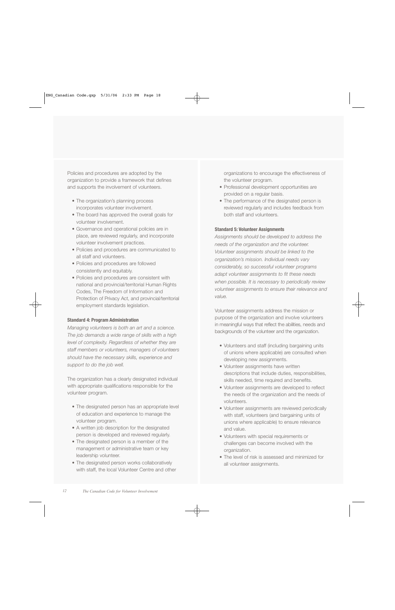Policies and procedures are adopted by the organization to provide a framework that defines and supports the involvement of volunteers.

- The organization's planning process incorporates volunteer involvement.
- The board has approved the overall goals for volunteer involvement.
- Governance and operational policies are in place, are reviewed regularly, and incorporate volunteer involvement practices.
- Policies and procedures are communicated to all staff and volunteers.
- Policies and procedures are followed consistently and equitably.
- Policies and procedures are consistent with national and provincial/territorial Human Rights Codes, The Freedom of Information and Protection of Privacy Act, and provincial/territorial employment standards legislation.

#### **Standard 4: Program Administration**

*Managing volunteers is both an art and a science. The job demands a wide range of skills with a high level of complexity. Regardless of whether they are s t a ff members or volunteers, managers of volunteers should have the necessary skills, experience and support to do the job well.*

The organization has a clearly designated individual with appropriate qualifications responsible for the volunteer program.

- The designated person has an appropriate level of education and experience to manage the volunteer program.
- A written job description for the designated person is developed and reviewed regularly.
- The designated person is a member of the management or administrative team or key leadership volunteer.
- The designated person works collaboratively with staff, the local Volunteer Centre and other

organizations to encourage the effectiveness of the volunteer program.

- Professional development opportunities are provided on a regular basis.
- The performance of the designated person is reviewed regularly and includes feedback from both staff and volunteers.

#### **Standard 5: Volunteer Assignments**

*Assignments should be developed to address the needs of the organization and the volunteer. Volunteer assignments should be linked to the organization's mission. Individual needs vary considerably, so successful volunteer programs adapt volunteer assignments to fit these needs when possible. It is necessary to periodically review volunteer assignments to ensure their relevance and value.*

Volunteer assignments address the mission or purpose of the organization and involve volunteers in meaningful ways that reflect the abilities, needs and backgrounds of the volunteer and the organization.

- Volunteers and staff (including bargaining units of unions where applicable) are consulted when developing new assignments.
- Volunteer assignments have written descriptions that include duties, responsibilities, skills needed, time required and benefits.
- Volunteer assignments are developed to reflect the needs of the organization and the needs of volunteers.
- Volunteer assignments are reviewed periodically with staff, volunteers (and bargaining units of unions where applicable) to ensure relevance and value.
- Volunteers with special requirements or challenges can become involved with the organization.
- The level of risk is assessed and minimized for all volunteer assignments.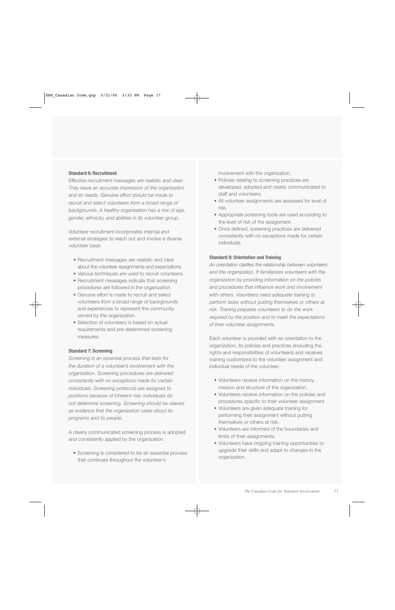#### **Standard 6: Recruitment**

*Effective recruitment messages are realistic and clear. They leave an accurate impression of the organization and its needs. Genuine effort should be made to recruit and select volunteers from a broad range of backgrounds. A healthy organization has a mix of age, gender, ethnicity, and abilities in its volunteer group.* 

Volunteer recruitment incorporates internal and external strategies to reach out and involve a diverse volunteer base.

- Recruitment messages are realistic and clear about the volunteer assignments and expectations.
- Various techniques are used to recruit volunteers.
- Recruitment messages indicate that screening procedures are followed in the organization.
- Genuine effort is made to recruit and select volunteers from a broad range of backgrounds and experiences to represent the community served by the organization.
- Selection of volunteers is based on actual requirements and pre-determined screening measures.

#### **Standard 7: Screening**

*Screening is an essential process that lasts for the duration of a volunteer's involvement with the organization. Screening procedures are delivered consistently with no exceptions made for certain individuals. Screening protocols are assigned to positions because of inherent risk; individuals do not determine screening. Screening should be viewed as evidence that the organization cares about its programs and its people.* 

A clearly communicated screening process is adopted and consistently applied by the organization.

• Screening is considered to be an essential process that continues throughout the volunteer's

involvement with the organization.

- Policies relating to screening practices are developed, adopted and clearly communicated to staff and volunteers.
- All volunteer assignments are assessed for level of risk.
- Appropriate screening tools are used according to the level of risk of the assignment.
- Once defined, screening practices are delivered consistently with no exceptions made for certain individuals.

#### **Standard 8: Orientation and Training**

*An orientation clarifies the relationship between volunteers and the organization. It familiarizes volunteers with the organization by providing information on the policies and procedures that influence work and involvement with others. Volunteers need adequate training to perform tasks without putting themselves or others at risk. Training prepares volunteers to do the work required by the position and to meet the expectations of their volunteer assignments.* 

Each volunteer is provided with an orientation to the organization, its policies and practices (including the rights and responsibilities of volunteers) and receives training customized to the volunteer assignment and individual needs of the volunteer.

- Volunteers receive information on the history, mission and structure of the organization.
- Volunteers receive information on the policies and procedures specific to their volunteer assignment.
- Volunteers are given adequate training for performing their assignment without putting themselves or others at risk.
- Volunteers are informed of the boundaries and limits of their assignments.
- Volunteers have ongoing training opportunities to upgrade their skills and adapt to changes in the organization.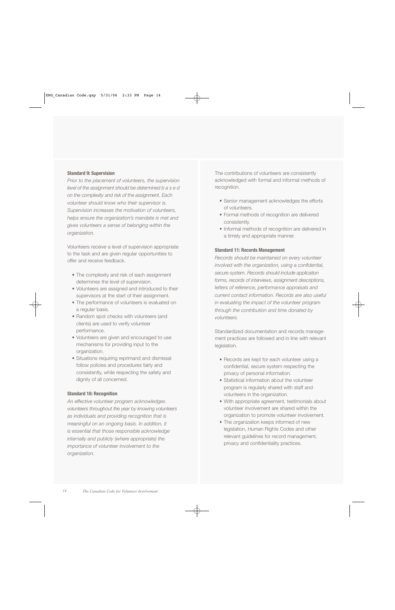#### **Standard 9: Supervision**

*Prior to the placement of volunteers, the supervision level of the assignment should be determined b a s e d on the complexity and risk of the assignment. Each volunteer should know who their supervisor is. Supervision increases the motivation of volunteers, helps ensure the organization's mandate is met and gives volunteers a sense of belonging within the organization.*

Volunteers receive a level of supervision appropriate to the task and are given regular opportunities to offer and receive feedback.

- The complexity and risk of each assignment determines the level of supervision.
- Volunteers are assigned and introduced to their supervisors at the start of their assignment.
- The performance of volunteers is evaluated on a regular basis.
- Random spot checks with volunteers (and clients) are used to verify volunteer performance.
- Volunteers are given and encouraged to use mechanisms for providing input to the organization.
- Situations requiring reprimand and dismissal follow policies and procedures fairly and consistently, while respecting the safety and dignity of all concerned.

#### **Standard 10: Recognition**

*An effective volunteer program acknowledges volunteers throughout the year by knowing volunteers as individuals and providing recognition that is meaningful on an ongoing basis. In addition, it is essential that those responsible acknowledge internally and publicly (where appropriate) the importance of volunteer involvement to the organization.*

The contributions of volunteers are consistently acknowledged with formal and informal methods of recognition.

- Senior management acknowledges the efforts of volunteers.
- Formal methods of recognition are delivered consistently.
- Informal methods of recognition are delivered in a timely and appropriate manner.

#### **Standard 11: Records Management**

*Records should be maintained on every volunteer involved with the organization, using a confidential, s e c u re system. Records should include application* forms, records of interviews, assignment descriptions, *letters of reference, performance appraisals and current contact information. Records are also useful in evaluating the impact of the volunteer program through the contribution and time donated by volunteers.* 

Standardized documentation and records management practices are followed and in line with relevant legislation.

- Records are kept for each volunteer using a confidential, secure system respecting the privacy of personal information.
- Statistical information about the volunteer program is regularly shared with staff and volunteers in the organization.
- With appropriate agreement, testimonials about volunteer involvement are shared within the organization to promote volunteer involvement.
- The organization keeps informed of new legislation, Human Rights Codes and other relevant guidelines for record management, privacy and confidentiality practices.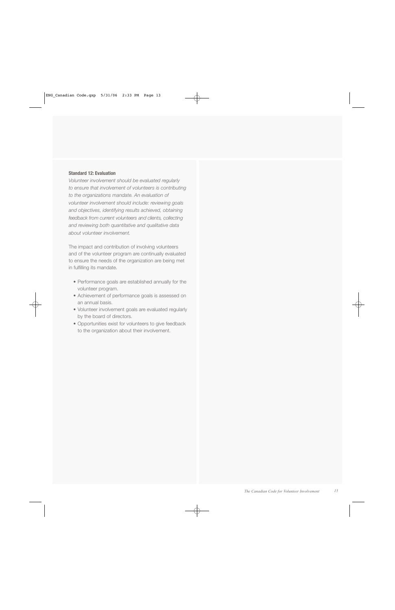#### **Standard 12: Evaluation**

*Volunteer involvement should be evaluated regularly to ensure that involvement of volunteers is contributing to the organizations mandate. An evaluation of volunteer involvement should include: reviewing goals and objectives, identifying results achieved, obtaining feedback from current volunteers and clients, collecting and reviewing both quantitative and qualitative data about volunteer involvement.* 

The impact and contribution of involving volunteers and of the volunteer program are continually evaluated to ensure the needs of the organization are being met in fulfilling its mandate.

- Performance goals are established annually for the volunteer program.
- Achievement of performance goals is assessed on an annual basis.
- Volunteer involvement goals are evaluated regularly by the board of directors.
- Opportunities exist for volunteers to give feedback to the organization about their involvement.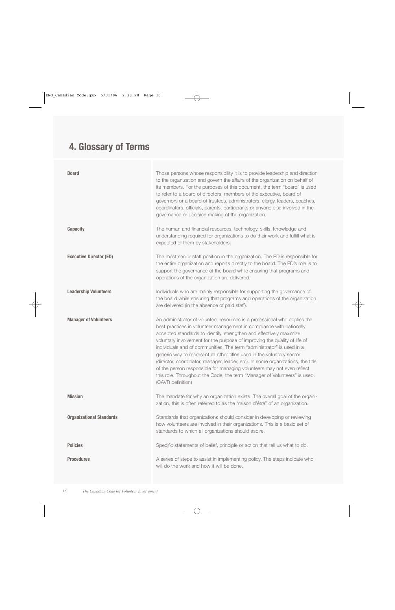# **4. Glossary of Terms**

| <b>Board</b>                    | Those persons whose responsibility it is to provide leadership and direction<br>to the organization and govern the affairs of the organization on behalf of<br>its members. For the purposes of this document, the term "board" is used<br>to refer to a board of directors, members of the executive, board of<br>governors or a board of trustees, administrators, clergy, leaders, coaches,<br>coordinators, officials, parents, participants or anyone else involved in the<br>governance or decision making of the organization.                                                                                                                                                                                   |  |
|---------------------------------|-------------------------------------------------------------------------------------------------------------------------------------------------------------------------------------------------------------------------------------------------------------------------------------------------------------------------------------------------------------------------------------------------------------------------------------------------------------------------------------------------------------------------------------------------------------------------------------------------------------------------------------------------------------------------------------------------------------------------|--|
| <b>Capacity</b>                 | The human and financial resources, technology, skills, knowledge and<br>understanding required for organizations to do their work and fulfill what is<br>expected of them by stakeholders.                                                                                                                                                                                                                                                                                                                                                                                                                                                                                                                              |  |
| <b>Executive Director (ED)</b>  | The most senior staff position in the organization. The ED is responsible for<br>the entire organization and reports directly to the board. The ED's role is to<br>support the governance of the board while ensuring that programs and<br>operations of the organization are delivered.                                                                                                                                                                                                                                                                                                                                                                                                                                |  |
| <b>Leadership Volunteers</b>    | Individuals who are mainly responsible for supporting the governance of<br>the board while ensuring that programs and operations of the organization<br>are delivered (in the absence of paid staff).                                                                                                                                                                                                                                                                                                                                                                                                                                                                                                                   |  |
| <b>Manager of Volunteers</b>    | An administrator of volunteer resources is a professional who applies the<br>best practices in volunteer management in compliance with nationally<br>accepted standards to identify, strengthen and effectively maximize<br>voluntary involvement for the purpose of improving the quality of life of<br>individuals and of communities. The term "administrator" is used in a<br>generic way to represent all other titles used in the voluntary sector<br>(director, coordinator, manager, leader, etc). In some organizations, the title<br>of the person responsible for managing volunteers may not even reflect<br>this role. Throughout the Code, the term "Manager of Volunteers" is used.<br>(CAVR definition) |  |
| <b>Mission</b>                  | The mandate for why an organization exists. The overall goal of the organi-<br>zation, this is often referred to as the "raison d'être" of an organization.                                                                                                                                                                                                                                                                                                                                                                                                                                                                                                                                                             |  |
| <b>Organizational Standards</b> | Standards that organizations should consider in developing or reviewing<br>how volunteers are involved in their organizations. This is a basic set of<br>standards to which all organizations should aspire.                                                                                                                                                                                                                                                                                                                                                                                                                                                                                                            |  |
| <b>Policies</b>                 | Specific statements of belief, principle or action that tell us what to do.                                                                                                                                                                                                                                                                                                                                                                                                                                                                                                                                                                                                                                             |  |
| <b>Procedures</b>               | A series of steps to assist in implementing policy. The steps indicate who<br>will do the work and how it will be done.                                                                                                                                                                                                                                                                                                                                                                                                                                                                                                                                                                                                 |  |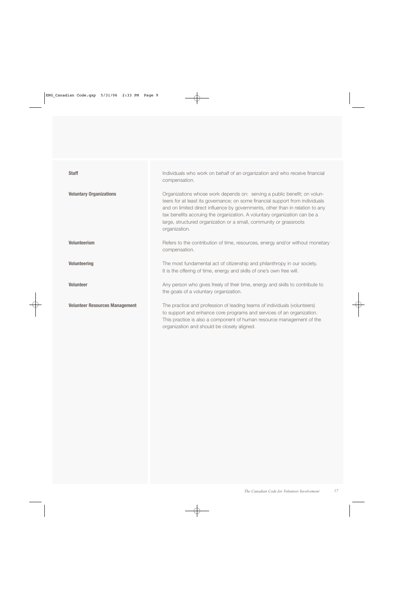| <b>Staff</b>                          | Individuals who work on behalf of an organization and who receive financial<br>compensation.                                                                                                                                                                                                                                                                                                                   |
|---------------------------------------|----------------------------------------------------------------------------------------------------------------------------------------------------------------------------------------------------------------------------------------------------------------------------------------------------------------------------------------------------------------------------------------------------------------|
| <b>Voluntary Organizations</b>        | Organizations whose work depends on: serving a public benefit; on volun-<br>teers for at least its governance; on some financial support from individuals<br>and on limited direct influence by governments, other than in relation to any<br>tax benefits accruing the organization. A voluntary organization can be a<br>large, structured organization or a small, community or grassroots<br>organization. |
| <b>Volunteerism</b>                   | Refers to the contribution of time, resources, energy and/or without monetary<br>compensation.                                                                                                                                                                                                                                                                                                                 |
| <b>Volunteering</b>                   | The most fundamental act of citizenship and philanthropy in our society.<br>It is the offering of time, energy and skills of one's own free will.                                                                                                                                                                                                                                                              |
| <b>Volunteer</b>                      | Any person who gives freely of their time, energy and skills to contribute to<br>the goals of a voluntary organization.                                                                                                                                                                                                                                                                                        |
| <b>Volunteer Resources Management</b> | The practice and profession of leading teams of individuals (volunteers)<br>to support and enhance core programs and services of an organization.<br>This practice is also a component of human resource management of the<br>organization and should be closely aligned.                                                                                                                                      |